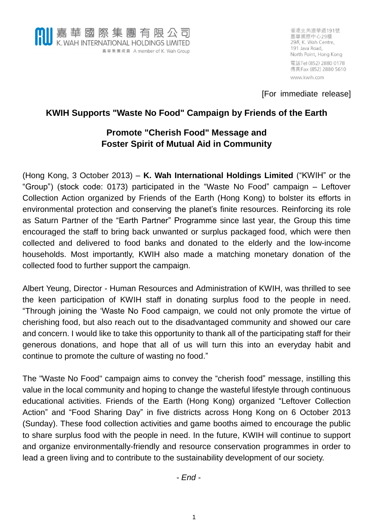

香港北角渣華道191號 嘉華國際中心29樓 29/F, K. Wah Centre, 191 Java Road, North Point, Hong Kong 電話Tel (852) 2880 0178 傳真Fax (852) 2880 5610 www.kwih.com

[For immediate release]

## **KWIH Supports "Waste No Food" Campaign by Friends of the Earth**

# **Promote "Cherish Food" Message and Foster Spirit of Mutual Aid in Community**

(Hong Kong, 3 October 2013) – **K. Wah International Holdings Limited** ("KWIH" or the "Group") (stock code: 0173) participated in the "Waste No Food" campaign – Leftover Collection Action organized by Friends of the Earth (Hong Kong) to bolster its efforts in environmental protection and conserving the planet's finite resources. Reinforcing its role as Saturn Partner of the "Earth Partner" Programme since last year, the Group this time encouraged the staff to bring back unwanted or surplus packaged food, which were then collected and delivered to food banks and donated to the elderly and the low-income households. Most importantly, KWIH also made a matching monetary donation of the collected food to further support the campaign.

Albert Yeung, Director - Human Resources and Administration of KWIH, was thrilled to see the keen participation of KWIH staff in donating surplus food to the people in need. "Through joining the 'Waste No Food campaign, we could not only promote the virtue of cherishing food, but also reach out to the disadvantaged community and showed our care and concern. I would like to take this opportunity to thank all of the participating staff for their generous donations, and hope that all of us will turn this into an everyday habit and continue to promote the culture of wasting no food."

The "Waste No Food" campaign aims to convey the "cherish food" message, instilling this value in the local community and hoping to change the wasteful lifestyle through continuous educational activities. Friends of the Earth (Hong Kong) organized "Leftover Collection Action" and "Food Sharing Day" in five districts across Hong Kong on 6 October 2013 (Sunday). These food collection activities and game booths aimed to encourage the public to share surplus food with the people in need. In the future, KWIH will continue to support and organize environmentally-friendly and resource conservation programmes in order to lead a green living and to contribute to the sustainability development of our society.

*- End -*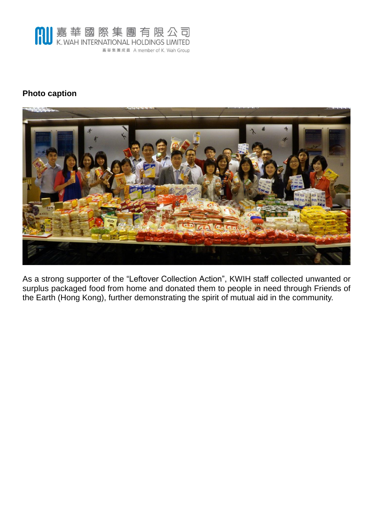

### **Photo caption**



As a strong supporter of the "Leftover Collection Action", KWIH staff collected unwanted or surplus packaged food from home and donated them to people in need through Friends of the Earth (Hong Kong), further demonstrating the spirit of mutual aid in the community.